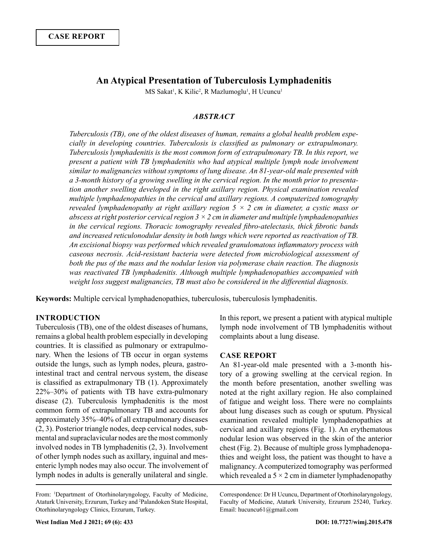# **An Atypical Presentation of Tuberculosis Lymphadenitis**

MS Sakat<sup>1</sup>, K Kilic<sup>2</sup>, R Mazlumoglu<sup>1</sup>, H Ucuncu<sup>1</sup>

### *ABSTRACT*

*Tuberculosis (TB), one of the oldest diseases of human, remains a global health problem especially in developing countries. Tuberculosis is classified as pulmonary or extrapulmonary. Tuberculosis lymphadenitis is the most common form of extrapulmonary TB. In this report, we present a patient with TB lymphadenitis who had atypical multiple lymph node involvement similar to malignancies without symptoms of lung disease. An 81-year-old male presented with a 3-month history of a growing swelling in the cervical region. In the month prior to presentation another swelling developed in the right axillary region. Physical examination revealed multiple lymphadenopathies in the cervical and axillary regions. A computerized tomography revealed lymphadenopathy at right axillary region 5 × 2 cm in diameter, a cystic mass or abscess at right posterior cervical region 3 × 2 cm in diameter and multiple lymphadenopathies in the cervical regions. Thoracic tomography revealed fibro-atelectasis, thick fibrotic bands and increased reticulonodular density in both lungs which were reported as reactivation of TB. An excisional biopsy was performed which revealed granulomatous inflammatory process with caseous necrosis. Acid-resistant bacteria were detected from microbiological assessment of both the pus of the mass and the nodular lesion via polymerase chain reaction. The diagnosis was reactivated TB lymphadenitis. Although multiple lymphadenopathies accompanied with weight loss suggest malignancies, TB must also be considered in the differential diagnosis.*

**Keywords:** Multiple cervical lymphadenopathies, tuberculosis, tuberculosis lymphadenitis.

### **INTRODUCTION**

Tuberculosis (TB), one of the oldest diseases of humans, remains a global health problem especially in developing countries. It is classified as pulmonary or extrapulmonary. When the lesions of TB occur in organ systems outside the lungs, such as lymph nodes, pleura, gastrointestinal tract and central nervous system, the disease is classified as extrapulmonary TB (1). Approximately 22%–30% of patients with TB have extra-pulmonary disease (2). Tuberculosis lymphadenitis is the most common form of extrapulmonary TB and accounts for approximately 35%–40% of all extrapulmonary diseases (2, 3). Posterior triangle nodes, deep cervical nodes, submental and supraclavicular nodes are the most commonly involved nodes in TB lymphadenitis (2, 3). Involvement of other lymph nodes such as axillary, inguinal and mesenteric lymph nodes may also occur. The involvement of lymph nodes in adults is generally unilateral and single.

In this report, we present a patient with atypical multiple lymph node involvement of TB lymphadenitis without complaints about a lung disease.

#### **CASE REPORT**

An 81-year-old male presented with a 3-month history of a growing swelling at the cervical region. In the month before presentation, another swelling was noted at the right axillary region. He also complained of fatigue and weight loss. There were no complaints about lung diseases such as cough or sputum. Physical examination revealed multiple lymphadenopathies at cervical and axillary regions (Fig. 1). An erythematous nodular lesion was observed in the skin of the anterior chest (Fig. 2). Because of multiple gross lymphadenopathies and weight loss, the patient was thought to have a malignancy. A computerized tomography was performed which revealed a  $5 \times 2$  cm in diameter lymphadenopathy

Correspondence: Dr H Ucuncu, Department of Otorhinolaryngology, Faculty of Medicine, Ataturk University, Erzurum 25240, Turkey. Email: hucuncu61@gmail.com

From: <sup>1</sup> Department of Otorhinolaryngology, Faculty of Medicine, Ataturk University, Erzurum, Turkey and <sup>2</sup> Palandoken State Hospital, Otorhinolaryngology Clinics, Erzurum, Turkey.